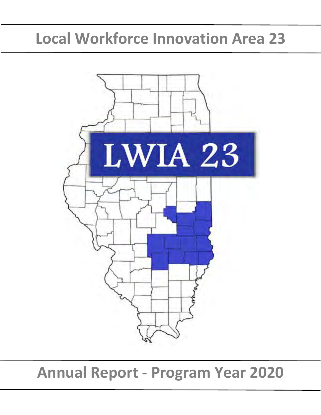# **Local Workforce Innovation Area 23**



**Annual Report - Program Year 2020**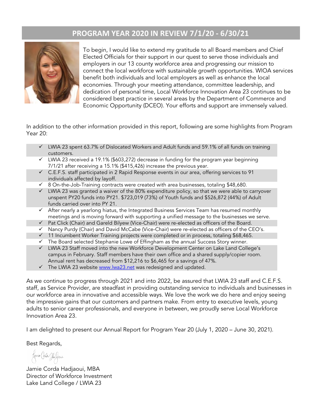# **PROGRAM YEAR 2020 IN REVIEW 7/1/20 - 6/30/21**



To begin, I would like to extend my gratitude to all Board members and Chief Elected Officials for their support in our quest to serve those individuals and employers in our 13 county workforce area and progressing our mission to connect the local workforce with sustainable growth opportunities. WIOA services benefit both individuals and local employers as well as enhance the local economies. Through your meeting attendance, committee leadership, and dedication of personal time, Local Workforce Innovation Area 23 continues to be considered best practice in several areas by the Department of Commerce and Economic Opportunity (DCEO). Your efforts and support are immensely valued.

In addition to the other information provided in this report, following are some highlights from Program Year 20:

- LWIA 23 spent 63.7% of Dislocated Workers and Adult funds and 59.1% of all funds on training customers.
- $\checkmark$  LWIA 23 received a 19.1% (\$603,272) decrease in funding for the program year beginning 7/1/21 after receiving a 15.1% (\$415,426) increase the previous year.
- $\checkmark$  C.E.F.S. staff participated in 2 Rapid Response events in our area, offering services to 91 individuals affected by layoff.
- $\checkmark$  8 On-the-Job-Training contracts were created with area businesses, totaling \$48,680.
- $\checkmark$  LWIA 23 was granted a waiver of the 80% expenditure policy, so that we were able to carryover unspent PY20 funds into PY21. \$723,019 (73%) of Youth funds and \$526,872 (44%) of Adult funds carried over into PY 21.
- $\checkmark$  After nearly a yearlong hiatus, the Integrated Business Services Team has resumed monthly meetings and is moving forward with supporting a unified message to the businesses we serve.
- $\checkmark$  Pat Click (Chair) and Gareld Bilyew (Vice-Chair) were re-elected as officers of the Board.
- $\checkmark$  Nancy Purdy (Chair) and David McCabe (Vice-Chair) were re-elected as officers of the CEO's.
- $\checkmark$  11 Incumbent Worker Training projects were completed or in process, totaling \$68,465.
- $\checkmark$  The Board selected Stephanie Lowe of Effingham as the annual Success Story winner.
- LWIA 23 Staff moved into the new Workforce Development Center on Lake Land College's campus in February. Staff members have their own office and a shared supply/copier room. Annual rent has decreased from \$12,216 to \$6,465 for a savings of 47%.
- $\checkmark$  The LWIA 23 website [www.lwa23.net](http://www.lwa23.net/) was redesigned and updated.

As we continue to progress through 2021 and into 2022, be assured that LWIA 23 staff and C.E.F.S. staff, as Service Provider, are steadfast in providing outstanding service to individuals and businesses in our workforce area in innovative and accessible ways. We love the work we do here and enjoy seeing the impressive gains that our customers and partners make. From entry to executive levels, young adults to senior career professionals, and everyone in between, we proudly serve Local Workforce Innovation Area 23.

I am delighted to present our Annual Report for Program Year 20 (July 1, 2020 – June 30, 2021).

Best Regards,

Jamie Core Joffran

Jamie Corda Hadjaoui, MBA Director of Workforce Investment Lake Land College / LWIA 23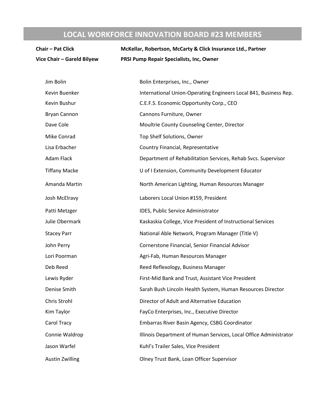# **LOCAL WORKFORCE INNOVATION BOARD #23 MEMBERS**

| <b>Chair - Pat Click</b>   | McKellar, Robertson, McCarty & Click Insurance Ltd., Partner      |  |  |  |  |  |
|----------------------------|-------------------------------------------------------------------|--|--|--|--|--|
| Vice Chair - Gareld Bilyew | PRSI Pump Repair Specialists, Inc, Owner                          |  |  |  |  |  |
| Jim Bolin                  | Bolin Enterprises, Inc., Owner                                    |  |  |  |  |  |
| Kevin Buenker              | International Union-Operating Engineers Local 841, Business Rep.  |  |  |  |  |  |
| Kevin Bushur               | C.E.F.S. Economic Opportunity Corp., CEO                          |  |  |  |  |  |
| <b>Bryan Cannon</b>        | Cannons Furniture, Owner                                          |  |  |  |  |  |
| Dave Cole                  | Moultrie County Counseling Center, Director                       |  |  |  |  |  |
| Mike Conrad                | Top Shelf Solutions, Owner                                        |  |  |  |  |  |
| Lisa Erbacher              | Country Financial, Representative                                 |  |  |  |  |  |
| Adam Flack                 | Department of Rehabilitation Services, Rehab Svcs. Supervisor     |  |  |  |  |  |
| <b>Tiffany Macke</b>       | U of I Extension, Community Development Educator                  |  |  |  |  |  |
| Amanda Martin              | North American Lighting, Human Resources Manager                  |  |  |  |  |  |
| Josh McElravy              | Laborers Local Union #159, President                              |  |  |  |  |  |
| Patti Metzger              | IDES, Public Service Administrator                                |  |  |  |  |  |
| Julie Obermark             | Kaskaskia College, Vice President of Instructional Services       |  |  |  |  |  |
| <b>Stacey Parr</b>         | National Able Network, Program Manager (Title V)                  |  |  |  |  |  |
| John Perry                 | Cornerstone Financial, Senior Financial Advisor                   |  |  |  |  |  |
| Lori Poorman               | Agri-Fab, Human Resources Manager                                 |  |  |  |  |  |
| Deb Reed                   | Reed Reflexology, Business Manager                                |  |  |  |  |  |
| Lewis Ryder                | First-Mid Bank and Trust, Assistant Vice President                |  |  |  |  |  |
| Denise Smith               | Sarah Bush Lincoln Health System, Human Resources Director        |  |  |  |  |  |
| Chris Strohl               | Director of Adult and Alternative Education                       |  |  |  |  |  |
| Kim Taylor                 | FayCo Enterprises, Inc., Executive Director                       |  |  |  |  |  |
| Carol Tracy                | Embarras River Basin Agency, CSBG Coordinator                     |  |  |  |  |  |
| Connie Waldrop             | Illinois Department of Human Services, Local Office Administrator |  |  |  |  |  |
| Jason Warfel               | Kuhl's Trailer Sales, Vice President                              |  |  |  |  |  |
| <b>Austin Zwilling</b>     | Olney Trust Bank, Loan Officer Supervisor                         |  |  |  |  |  |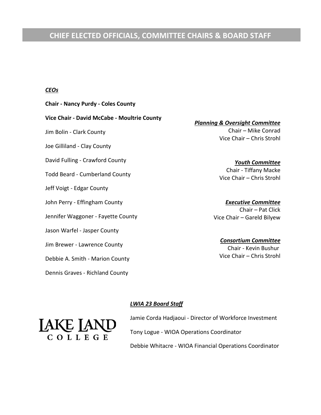# **CHIEF ELECTED OFFICIALS, COMMITTEE CHAIRS & BOARD STAFF**

#### *CEOs*

**Chair - Nancy Purdy - Coles County Vice Chair - David McCabe - Moultrie County**  Jim Bolin - Clark County Joe Gilliland - Clay County David Fulling - Crawford County Todd Beard - Cumberland County Jeff Voigt - Edgar County John Perry - Effingham County Jennifer Waggoner - Fayette County Jason Warfel - Jasper County Jim Brewer - Lawrence County Debbie A. Smith - Marion County Dennis Graves - Richland County

*Planning & Oversight Committee* Chair – Mike Conrad Vice Chair – Chris Strohl

> *Youth Committee* Chair - Tiffany Macke Vice Chair – Chris Strohl

*Executive Committee* Chair – Pat Click Vice Chair – Gareld Bilyew

*Consortium Committee* Chair - Kevin Bushur Vice Chair – Chris Strohl

#### *LWIA 23 Board Staff*

Jamie Corda Hadjaoui - Director of Workforce Investment Tony Logue - WIOA Operations Coordinator Debbie Whitacre - WIOA Financial Operations Coordinator

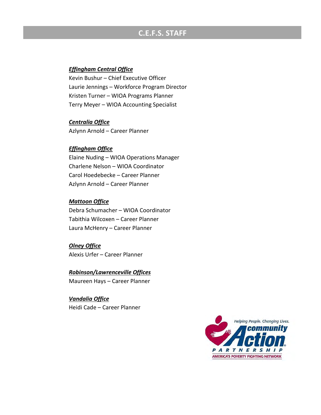# **C.E.F.S. STAFF**

#### *Effingham Central Office*

Kevin Bushur – Chief Executive Officer Laurie Jennings – Workforce Program Director Kristen Turner – WIOA Programs Planner Terry Meyer – WIOA Accounting Specialist

#### *Centralia Office*

Azlynn Arnold – Career Planner

#### *Effingham Office*

Elaine Nuding – WIOA Operations Manager Charlene Nelson – WIOA Coordinator Carol Hoedebecke – Career Planner Azlynn Arnold – Career Planner

#### *Mattoon Office*

Debra Schumacher – WIOA Coordinator Tabithia Wilcoxen – Career Planner Laura McHenry – Career Planner

*Olney Office* Alexis Urfer – Career Planner

#### *Robinson/Lawrenceville Offices*

Maureen Hays – Career Planner

*Vandalia Office* Heidi Cade – Career Planner

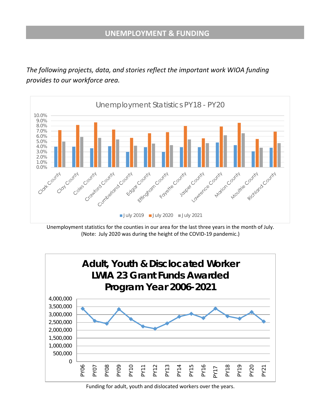*The following projects, data, and stories reflect the important work WIOA funding provides to our workforce area.* 



Unemployment statistics for the counties in our area for the last three years in the month of July. (Note: July 2020 was during the height of the COVID-19 pandemic.)



Funding for adult, youth and dislocated workers over the years.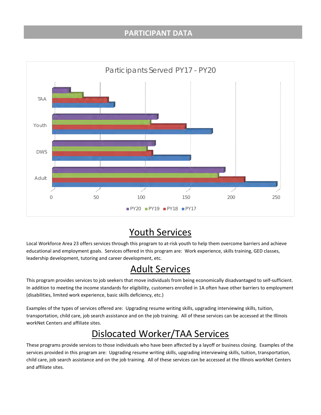### **PARTICIPANT DATA**



# Youth Services

Local Workforce Area 23 offers services through this program to at-risk youth to help them overcome barriers and achieve educational and employment goals. Services offered in this program are: Work experience, skills training, GED classes, leadership development, tutoring and career development, etc.

# Adult Services

This program provides services to job seekers that move individuals from being economically disadvantaged to self-sufficient. In addition to meeting the income standards for eligibility, customers enrolled in 1A often have other barriers to employment (disabilities, limited work experience, basic skills deficiency, etc.)

Examples of the types of services offered are: Upgrading resume writing skills, upgrading interviewing skills, tuition, transportation, child care, job search assistance and on the job training. All of these services can be accessed at the Illinois workNet Centers and affiliate sites.

# Dislocated Worker/TAA Services

These programs provide services to those individuals who have been affected by a layoff or business closing. Examples of the services provided in this program are: Upgrading resume writing skills, upgrading interviewing skills, tuition, transportation, child care, job search assistance and on the job training. All of these services can be accessed at the Illinois workNet Centers and affiliate sites.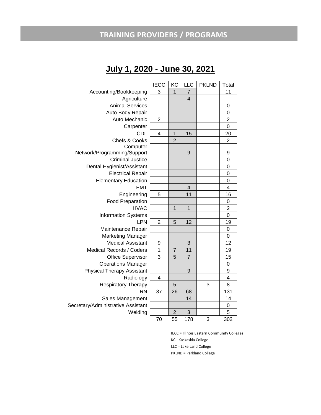# **TRAINING PROVIDERS / PROGRAMS**

# **July 1, 2020 - June 30, 2021**

|                                    | <b>IECC</b>    | KC             | LLC            | <b>PKLND</b> | Total          |
|------------------------------------|----------------|----------------|----------------|--------------|----------------|
| Accounting/Bookkeeping             | 3              | 1              | $\overline{7}$ |              | 11             |
| Agriculture                        |                |                | $\overline{4}$ |              |                |
| <b>Animal Services</b>             |                |                |                |              | 0              |
| Auto Body Repair                   |                |                |                |              | $\overline{0}$ |
| Auto Mechanic                      | $\overline{2}$ |                |                |              | $\overline{c}$ |
| Carpenter                          |                |                |                |              | $\mathbf 0$    |
| <b>CDL</b>                         | 4              | 1              | 15             |              | 20             |
| Chefs & Cooks                      |                | $\overline{2}$ |                |              | $\overline{2}$ |
| Computer                           |                |                |                |              |                |
| Network/Programming/Support        |                |                | 9              |              | 9              |
| <b>Criminal Justice</b>            |                |                |                |              | 0              |
| Dental Hygienist/Assistant         |                |                |                |              | 0              |
| <b>Electrical Repair</b>           |                |                |                |              | $\mathbf 0$    |
| <b>Elementary Education</b>        |                |                |                |              | $\mathbf 0$    |
| <b>EMT</b>                         |                |                | $\overline{4}$ |              | 4              |
| Engineering                        | 5              |                | 11             |              | 16             |
| <b>Food Preparation</b>            |                |                |                |              | 0              |
| <b>HVAC</b>                        |                | $\overline{1}$ | $\overline{1}$ |              | $\overline{2}$ |
| <b>Information Systems</b>         |                |                |                |              | 0              |
| <b>LPN</b>                         | $\overline{2}$ | 5              | 12             |              | 19             |
| Maintenance Repair                 |                |                |                |              | 0              |
| <b>Marketing Manager</b>           |                |                |                |              | 0              |
| <b>Medical Assistant</b>           | 9              |                | 3              |              | 12             |
| <b>Medical Records / Coders</b>    | 1              | $\overline{7}$ | 11             |              | 19             |
| <b>Office Supervisor</b>           | 3              | 5              | $\overline{7}$ |              | 15             |
| <b>Operations Manager</b>          |                |                |                |              | 0              |
| <b>Physical Therapy Assistant</b>  |                |                | 9              |              | 9              |
| Radiology                          | 4              |                |                |              | 4              |
| <b>Respiratory Therapy</b>         |                | 5              |                | 3            | 8              |
| <b>RN</b>                          | 37             | 26             | 68             |              | 131            |
| Sales Management                   |                |                | 14             |              | 14             |
| Secretary/Administrative Assistant |                |                |                |              | 0              |
| Welding                            |                | $\overline{2}$ | 3              |              | 5              |
|                                    | 70             | 55             | 178            | 3            | 302            |

IECC = Illinois Eastern Community Colleges KC - Kaskaskia College LLC = Lake Land College PKLND = Parkland College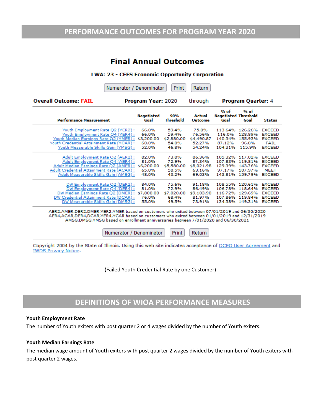### **PERFORMANCE OUTCOMES FOR PROGRAM YEAR 2020**

## **Final Annual Outcomes**

#### **LWA: 23 - CEFS Economic Opportunity Corporation**

|                                                                                                                                                                                                               | Numerator / Denominator |                                                | Print                                          | Return                                                                                                                                                                                                                         |                                                     |                                                     |                                                                                   |
|---------------------------------------------------------------------------------------------------------------------------------------------------------------------------------------------------------------|-------------------------|------------------------------------------------|------------------------------------------------|--------------------------------------------------------------------------------------------------------------------------------------------------------------------------------------------------------------------------------|-----------------------------------------------------|-----------------------------------------------------|-----------------------------------------------------------------------------------|
| <b>Overall Outcome: FAIL</b>                                                                                                                                                                                  |                         | <b>Program Year: 2020</b>                      |                                                | through                                                                                                                                                                                                                        |                                                     | <b>Program Quarter: 4</b>                           |                                                                                   |
| <b>Performance Measurement</b>                                                                                                                                                                                |                         | <b>Negotiated</b><br>Goal                      | 90%<br><b>Threshold</b>                        | Actual<br>Outcome                                                                                                                                                                                                              | % of<br><b>Negotiated Threshold</b><br>Goal         | % of<br>Goal                                        | <b>Status</b>                                                                     |
| Youth Employment Rate Q2 (YER2):<br>Youth Employment Rate Q4 (YER4) :<br>Youth Median Earnings Rate Q2 (YMER):<br>Youth Credential Attainment Rate (YCAR) :<br>Youth Measurable Skills Gain (YMSG) :          |                         | 66.0%<br>66.0%<br>\$3,200.00<br>60.0%<br>52.0% | 59.4%<br>59.4%<br>\$2,880.00<br>54.0%<br>46.8% | 75.0%<br>76.56%<br>\$4,490.87<br>52.27%<br>54.24%                                                                                                                                                                              | 113.64%<br>116.0%<br>140.34%<br>87.12%<br>104.31%   | 126.26%<br>128.89%<br>155.93%<br>96.8%<br>115.9%    | <b>EXCEED</b><br><b>EXCEED</b><br><b>EXCEED</b><br><b>FAIL</b><br><b>EXCEED</b>   |
| Adult Employment Rate Q2 (AER2):<br><u> Adult Employment Rate Q4 (AER4) :</u><br>Adult Median Earnings Rate Q2 (AMER) :<br>Adult Credential Attainment Rate (ACAR) :<br>Adult Measurable Skills Gain (AMSG) : |                         | 82.0%<br>81.0%<br>\$6,200.00<br>65.0%<br>48.0% | 73.8%<br>72.9%<br>\$5,580.00<br>58.5%<br>43.2% | 86.36%<br>87.34%<br>\$8,021.98<br>63.16%<br>69.03%                                                                                                                                                                             | 105.32%<br>107.83%<br>129.39%<br>97.17%<br>143.81%  | 117.02%<br>119,81%<br>143.76%<br>107.97%<br>159.79% | <b>EXCEED</b><br><b>EXCEED</b><br><b>EXCEED</b><br><b>MEET</b><br><b>EXCEED</b>   |
| DW Employment Rate Q2 (DER2):<br>DW Employment Rate Q4 (DER4):<br>DW Median Earnings Rate Q2 (DMER):<br>DW Credential Attainment Rate (DCAR) :<br>DW Measurable Skills Gain (DMSG) :                          |                         | 84.0%<br>81.0%<br>\$7,800.00<br>76.0%<br>55.0% | 75.6%<br>72.9%<br>\$7,020.00<br>68.4%<br>49.5% | 91.18%<br>86.49%<br>\$9,103.90<br>81.97%<br>73.91%                                                                                                                                                                             | 108.55%<br>106.78%<br>116.72%<br>107.86%<br>134.38% | 120.61%<br>118,64%<br>129.69%<br>119.84%<br>149.31% | <b>EXCEED</b><br><b>EXCEED</b><br><b>EXCEED</b><br><b>EXCEED</b><br><b>EXCEED</b> |
|                                                                                                                                                                                                               | . ___ _ _ __ __ _ __ .  |                                                |                                                | in a literature and the continuation of the continuum of the continuum of the continuum of the continuum of the continuum of the continuum of the continuum of the continuum of the continuum of the continuum of the continuu |                                                     |                                                     |                                                                                   |

AER2,AMER,DER2,DMER,YER2,YMER based on customers who exited between 07/01/2019 and 06/30/2020 AER4, ACAR, DER4, DCAR, YER4, YCAR based on customers who exited between 01/01/2019 and 12/31/2019 AMSG,DMSG,YMSG based on enrollment anniversaries between 7/01/2020 and 06/30/2021

Numerator / Denominator

Print Return

Copyright 2004 by the State of Illinois. Using this web site indicates acceptance of DCEO User Agreement and **IWDS Privacy Notice.** 

(Failed Youth Credential Rate by one Customer)

### **DEFINITIONS OF WIOA PERFORMANCE MEASURES**

#### **Youth Employment Rate**

The number of Youth exiters with post quarter 2 or 4 wages divided by the number of Youth exiters.

#### **Youth Median Earnings Rate**

The median wage amount of Youth exiters with post quarter 2 wages divided by the number of Youth exiters with post quarter 2 wages.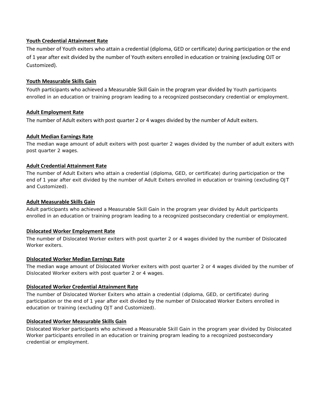#### **Youth Credential Attainment Rate**

The number of Youth exiters who attain a credential (diploma, GED or certificate) during participation or the end of 1 year after exit divided by the number of Youth exiters enrolled in education or training (excluding OJT or Customized).

#### **Youth Measurable Skills Gain**

Youth participants who achieved a Measurable Skill Gain in the program year divided by Youth participants enrolled in an education or training program leading to a recognized postsecondary credential or employment.

#### **Adult Employment Rate**

The number of Adult exiters with post quarter 2 or 4 wages divided by the number of Adult exiters.

#### **Adult Median Earnings Rate**

The median wage amount of adult exiters with post quarter 2 wages divided by the number of adult exiters with post quarter 2 wages.

#### **Adult Credential Attainment Rate**

The number of Adult Exiters who attain a credential (diploma, GED, or certificate) during participation or the end of 1 year after exit divided by the number of Adult Exiters enrolled in education or training (excluding OJT and Customized).

#### **Adult Measurable Skills Gain**

Adult participants who achieved a Measurable Skill Gain in the program year divided by Adult participants enrolled in an education or training program leading to a recognized postsecondary credential or employment.

#### **Dislocated Worker Employment Rate**

The number of Dislocated Worker exiters with post quarter 2 or 4 wages divided by the number of Dislocated Worker exiters.

#### **Dislocated Worker Median Earnings Rate**

The median wage amount of Dislocated Worker exiters with post quarter 2 or 4 wages divided by the number of Dislocated Worker exiters with post quarter 2 or 4 wages.

#### **Dislocated Worker Credential Attainment Rate**

The number of Dislocated Worker Exiters who attain a credential (diploma, GED, or certificate) during participation or the end of 1 year after exit divided by the number of Dislocated Worker Exiters enrolled in education or training (excluding OJT and Customized).

#### **Dislocated Worker Measurable Skills Gain**

Dislocated Worker participants who achieved a Measurable Skill Gain in the program year divided by Dislocated Worker participants enrolled in an education or training program leading to a recognized postsecondary credential or employment.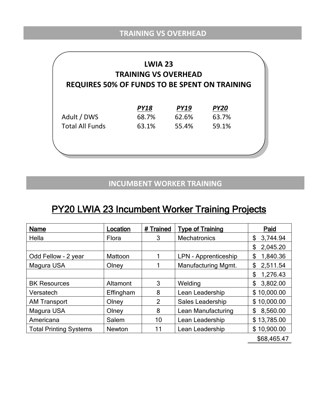| <b>LWIA 23</b><br><b>TRAINING VS OVERHEAD</b><br><b>REQUIRES 50% OF FUNDS TO BE SPENT ON TRAINING</b> |                      |                      |                      |  |  |  |  |  |
|-------------------------------------------------------------------------------------------------------|----------------------|----------------------|----------------------|--|--|--|--|--|
| Adult / DWS                                                                                           | <b>PY18</b><br>68.7% | <b>PY19</b><br>62.6% | <b>PY20</b><br>63.7% |  |  |  |  |  |
| <b>Total All Funds</b>                                                                                | 63.1%                | 55.4%                | 59.1%                |  |  |  |  |  |
|                                                                                                       |                      |                      |                      |  |  |  |  |  |

# **INCUMBENT WORKER TRAINING**

# PY20 LWIA 23 Incumbent Worker Training Projects

| <b>Name</b>                   | Location      | # Trained      | <b>Type of Training</b>     | Paid           |
|-------------------------------|---------------|----------------|-----------------------------|----------------|
| Hella                         | Flora         | 3              | <b>Mechatronics</b>         | 3,744.94<br>\$ |
|                               |               |                |                             | 2,045.20<br>\$ |
| Odd Fellow - 2 year           | Mattoon       |                | <b>LPN - Apprenticeship</b> | \$<br>1,840.36 |
| Magura USA                    | Olney         |                | Manufacturing Mgmt.         | \$<br>2,511.54 |
|                               |               |                |                             | \$<br>1,276.43 |
| <b>BK Resources</b>           | Altamont      | 3              | Welding                     | \$<br>3,802.00 |
| Versatech                     | Effingham     | 8              | Lean Leadership             | \$10,000.00    |
| <b>AM Transport</b>           | Olney         | $\overline{2}$ | Sales Leadership            | \$10,000.00    |
| Magura USA                    | Olney         | 8              | Lean Manufacturing          | \$<br>8,560.00 |
| Americana                     | Salem         | 10             | Lean Leadership             | \$13,785.00    |
| <b>Total Printing Systems</b> | <b>Newton</b> | 11             | Lean Leadership             | \$10,900.00    |
|                               |               |                |                             | \$68,465.47    |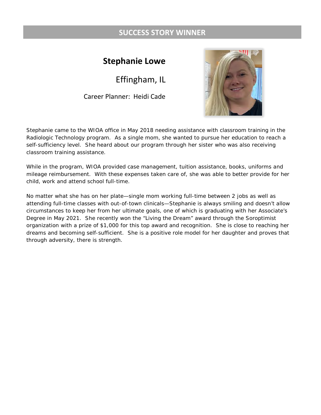## **SUCCESS STORY WINNER**

# **Stephanie Lowe**

Effingham, IL

Career Planner: Heidi Cade



Stephanie came to the WIOA office in May 2018 needing assistance with classroom training in the Radiologic Technology program. As a single mom, she wanted to pursue her education to reach a self-sufficiency level. She heard about our program through her sister who was also receiving classroom training assistance.

While in the program, WIOA provided case management, tuition assistance, books, uniforms and mileage reimbursement. With these expenses taken care of, she was able to better provide for her child, work and attend school full-time.

No matter what she has on her plate—single mom working full-time between 2 jobs as well as attending full-time classes with out-of-town clinicals—Stephanie is always smiling and doesn't allow circumstances to keep her from her ultimate goals, one of which is graduating with her Associate's Degree in May 2021. She recently won the "Living the Dream" award through the Soroptimist organization with a prize of \$1,000 for this top award and recognition. She is close to reaching her dreams and becoming self-sufficient. She is a positive role model for her daughter and proves that through adversity, there is strength.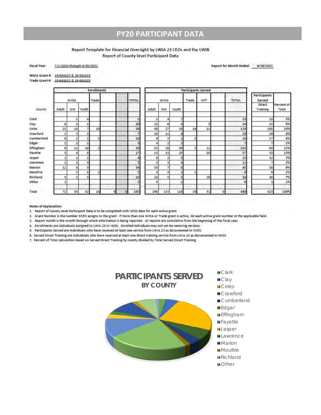### **PY20 PARTICIPANT DATA**

#### Report Template for Financial Oversight by LWIA 23 CEOs and the LWIB **Report of County-level Participant Data**

7/1/2020 through 6/30/2021 **Fiscal Year:** 

Report for Month Ended: 6/30/2021

| WIOA Grant #: 19-681023 & 20-681023 |
|-------------------------------------|

Trade Grant #: 18-661023 & 19-661023

|                  | <b>Enrollments</b> |             |       |       |   | <b>Participants Served</b> |                |              |             |       |       |            |         |              |                                  |                     |
|------------------|--------------------|-------------|-------|-------|---|----------------------------|----------------|--------------|-------------|-------|-------|------------|---------|--------------|----------------------------------|---------------------|
|                  |                    | <b>WIOA</b> |       | Trade |   |                            | <b>TOTAL</b>   |              | <b>WIOA</b> |       | Trade | <b>IWT</b> |         | <b>TOTAL</b> | <b>Participants</b><br>Served    |                     |
| County           | Adult              | <b>DW</b>   | Youth |       |   |                            |                | Adult        | <b>DW</b>   | Youth |       |            |         |              | <b>Direct</b><br><b>Training</b> | Percent of<br>Total |
| <b>Clark</b>     |                    |             | А     |       |   |                            | 5              | $\mathbf{z}$ | А           |       |       |            |         | 13           | 13                               | 3%                  |
| Clay             | 6                  | з           |       |       |   |                            | 10             | 11           | 6           |       |       |            |         | 24           | 21                               | 5%                  |
| Coles            | 21                 | 18          |       | 10    |   |                            | 56             | 48           | 27          | 19    | 14    | 11         |         | 119          | 101                              | 24%                 |
| Crawford         | $\overline{z}$     | 3           | 2     |       |   |                            | $\overline{7}$ | 10           | 11          | ß.    |       |            |         | 29           | 19                               | 4%                  |
| Cumberland       | 6                  | p           |       |       |   |                            | 10             | 9            | 5           |       |       |            |         | 18           | 17                               | 4%                  |
| Edgar            | $\overline{2}$     | 2           | 1     |       |   |                            | 5              | 4            | 2           |       |       |            |         |              |                                  | 2%                  |
| <b>Effingham</b> | 9                  | 11          | 16    |       |   |                            | 38             | 33           | 26          | 30    |       | 11         |         | 102          | 93                               | 22%                 |
| Fayette          | 5                  | л           | 8     |       |   |                            | 17             | 13           | 11          | 23    |       | 10         |         | 57           | 53                               | 13%                 |
| Jasper           |                    |             |       |       |   |                            | Δ              | 8            | 2           | 5     |       |            |         | 15           | 12                               | 3%                  |
| Lawrence         |                    |             | 3     |       |   |                            | 5              | 4            | з           |       |       |            |         | 11           |                                  | 2%                  |
| Marion           | 12                 | d           | з     |       |   |                            | 19             | 30           |             |       |       |            |         | 45           | 38                               | 9%                  |
| Moultrie         |                    | з           |       |       |   |                            | 5              | з            | 4           |       |       |            |         | 9            | 9                                | 2%                  |
| Richland         | 5                  | э           | э     |       |   |                            | 10             | 10           | 5           |       |       | 16         |         | 34           | 30                               | 7%                  |
| Other            |                    |             |       |       |   |                            | $\overline{z}$ | 5            |             |       |       |            |         | 6            |                                  | 1%                  |
| Total            | 72                 | 55          | 52    | 14    | n | o                          | 193            | 190          | 113         | 116   | 19    | 51         | $\circ$ | 489          | 423                              | 100%                |

**Notes of Explanation:** 

1. Report of County-level Participant Data is to be completed with IWDS data for each active grant.

2. Grant Number is the number DCEO assigns to the grant. If more than one WIOA or Trade grant is active, list each active grant number in the applicable field.

3. Report month is the month through which information is being reported. All reports are cumulative from the beginning of the fiscal year.

4. Enrollments are individuals assigned to LWIA 23 in IWDS. Enrolled individuals may not yet be receiving services.

5. Participants Served are individuals who have received at least one service from LWIA 23 as documented in IWDS.

6. Served Direct Training are individuals who have received at least one direct training service from LWIA 23 as documented in IWDS.

7. Percent of Total calculation based on Served Direct Training by county divided by Total Served Direct Training.

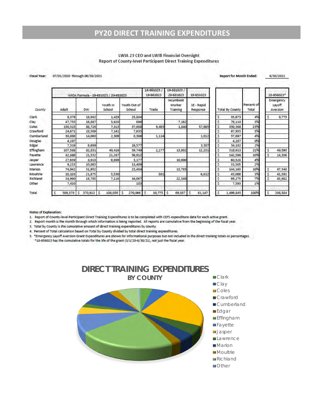# **PY20 DIRECT TRAINING EXPENDITURES**

#### LWIA 23 CEO and LWIB Financial Oversight **Report of County-level Participant Direct Training Expenditures**

#### Fiscal Year: 07/01/2020 through 06/30/2021

| <b>Report for Month Ended:</b> | 6/30/2021 |
|--------------------------------|-----------|
|                                |           |

|              |              |              | WIOA Formula - 19-681023 / 20-681023 |                        | 18-661023/<br>19-661023 | 19-681023/<br>20-681023                | 19-651023              |
|--------------|--------------|--------------|--------------------------------------|------------------------|-------------------------|----------------------------------------|------------------------|
| County       | Adult        | <b>DW</b>    | Youth in<br>School                   | Youth Out of<br>School | Trade                   | <b>Incumbent</b><br>Worker<br>Training | 1E - Rapid<br>Response |
| <b>Clark</b> | 9,378        | 18,982       | 1,429                                | 25,884                 |                         |                                        |                        |
| Clay         | 47,755       | 16,887       | 5,610                                | 696                    |                         | 7,162                                  |                        |
| Coles        | 150,323      | 88,726       | 7,313                                | 37,988                 | 6,493                   | 1,840                                  | 57,685                 |
| Crawford     | 24,671       | 28,509       | 7,141                                | 7,635                  |                         |                                        |                        |
| Cumberland   | 30,886       | 14,060       | 2,309                                | 8,306                  | 1,124                   |                                        | 1,012                  |
| Douglas      | 4,287        |              |                                      |                        |                         |                                        |                        |
| Edgar        | 7,319        | 6,699        |                                      | 16,577                 |                         |                                        | 3,587                  |
| Effingham    | 107,588      | 82,831       | 40,416                               | 59,749                 | 2,277                   | 13,802                                 | 12,251                 |
| Favette      | 42,886       | 21,532       | 21,267                               | 56,912                 |                         |                                        |                        |
| Jasper       | 27.639       | 8,913        | 9,899                                | 3,177                  |                         | 10,900                                 |                        |
| Lawrence     | 9.233        | 10,863       |                                      | 13,409                 |                         |                                        |                        |
| Marion       | 74,942       | 31,952       |                                      | 23,484                 |                         | 13,785                                 |                        |
| Moultrie     | 10,103       | 21,875       | 5,530                                |                        | 881                     |                                        | 6,612                  |
| Richland     | 34,960       | 18,785       | 7,116                                | 16,067                 |                         | 22,348                                 |                        |
| Other        | 7,410        |              |                                      | 183                    |                         |                                        |                        |
| Total        | 589,378<br>Ś | 3<br>370,612 | 108,030<br>s                         | s<br>270,066           | s<br>10,775             | ś<br>69,837                            | s<br>81,147            |

| <b>Total By County</b> | Percent of<br>Total |    | 18-656023*<br>Emergency<br>Layoff<br>Aversion |  |  |
|------------------------|---------------------|----|-----------------------------------------------|--|--|
|                        |                     |    |                                               |  |  |
| s.<br>55,673           | 4%                  | \$ | 9,775                                         |  |  |
| Ś.<br>78,110           | 5%                  |    |                                               |  |  |
| \$<br>350,368          | 23%                 |    |                                               |  |  |
| Ś<br>67,955            | 5%                  |    |                                               |  |  |
| \$<br>57,697           | 496                 |    |                                               |  |  |
| \$<br>4,287            | 0%                  |    |                                               |  |  |
| \$<br>34,182           | 2%                  |    |                                               |  |  |
| \$<br>318,913          | 21%                 | \$ | 49,590                                        |  |  |
| \$<br>142,596          | 10%                 | \$ | 14,306                                        |  |  |
| ś<br>60,528            | 4%                  |    |                                               |  |  |
| Ś<br>33,505            | 2%                  |    |                                               |  |  |
| \$<br>144,163          | 10%                 | \$ | 47,340                                        |  |  |
| \$<br>45,000           | 3%                  | \$ | 41,591                                        |  |  |
| Ś.<br>99,275           | 7%                  | s  | 45,982                                        |  |  |
| Ś<br>7,593             | 1%                  |    |                                               |  |  |
| \$.<br>1,499,845       | 100%                |    | 208,584                                       |  |  |

#### **Notes of Explanation:**

1. Report of County-level Participant Direct Training Expenditures is to be completed with CEFS expenditure data for each active grant.

2. Report month is the month through which information is being reported. All reports are cumulative from the beginning of the fiscal year.

3. Total by County is the cumulative amount of direct training expenditures by county.

4. Percent of Total calculation based on Total by County divided by total direct training expenditures.

5. "Emergency Layoff Aversion Grant Expenditures are shown for informational purposes but not included in the direct training totals or percentages. \*18-656023 has the cumulative totals for the life of the grant (5/1/20-6/30/21), not just the fiscal year.

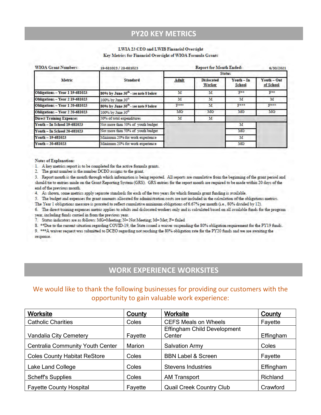### **PY20 KEY METRICS**

#### LWIA 23 CEO and LWIB Financial Oversight

Key Metrics for Financial Oversight of WIOA Formula Grants

| <b>WIOA Grant Numbers:</b>                                            | 19-681023 / 20-681023               |               | <b>Report for Month Ended:</b>     |                             |                          |  |  |  |
|-----------------------------------------------------------------------|-------------------------------------|---------------|------------------------------------|-----------------------------|--------------------------|--|--|--|
|                                                                       |                                     | <b>Status</b> |                                    |                             |                          |  |  |  |
| Metric                                                                | <b>Standard</b>                     | Adult         | <b>Dislocated</b><br><b>Worker</b> | Youth - In<br><b>School</b> | Youth - Out<br>of School |  |  |  |
| Obligations - Year 1 19-681023<br>80% by June 30th - see note 8 below |                                     | M             | м                                  | P.e.                        | F**                      |  |  |  |
| <b>Obligations - Year 2 19-681023</b>                                 | 100% by June 30 <sup>th</sup>       |               | M                                  | M                           | M                        |  |  |  |
| Obligations - Year 1 20-681023                                        | 80% by June 30th - see note 9 below |               | м                                  | Pest                        | $F***$                   |  |  |  |
| <b>Obligations - Year 2 20-681023</b>                                 | 100% by June 30 <sup>th</sup>       | MG            | MG                                 | MG                          | MG                       |  |  |  |
| <b>Direct Training Expenses</b>                                       | 50% of total expenditures           | м             | M                                  |                             |                          |  |  |  |
| <b>Youth - In School 19-681023</b>                                    | Not more than 50% of youth budget   |               |                                    | м                           |                          |  |  |  |
| <b>Youth - In School 20-681023</b>                                    | Not more than 50% of youth budget   |               |                                    | MG                          |                          |  |  |  |
| $Youth - 19-681023$                                                   | Minimum 20% for work experience     |               |                                    | M                           |                          |  |  |  |
| $Y$ outh $-20-681023$                                                 | Minimum 20% for work experience     |               |                                    | MG                          |                          |  |  |  |

Notes of Explanation:

1. A key metrics report is to be completed for the active formula grants.

2. The grant number is the number DCEO assigns to the grant.

3. Report month is the month through which information is being reported. All reports are cumulative from the beginning of the grant period and should tie to entries made on the Grant Reporting System (GRS). GRS entries for the report month are required to be made within 20 days of the end of the previous month.

4. As shown, some metrics apply separate standards for each of the two years for which formula grant funding is available.

5. The budget and expenses for grant amounts allocated for administration costs are not included in the calculation of the obligations metrics.

The Year 1 obligations measure is prorated to reflect cumulative minimum obligations of 6.67% per month (i.e., 80% divided by 12).

6. The direct training expenses metric applies to adults and dislocated workers only and is calculated based on all available funds for the program year, including funds carried in from the previous year.

7. Status indicators are as follows: MG=Meeting: N= Not Meeting: M= Met; F= failed

8. \*\* Due to the current situation regarding COVID-19, the State issued a waiver suspending the 80% obligation requirement for the PY19 funds.

9. \*\*\*A waiver request was submitted to DCEO regarding not reaching the 80% obligation rate for the PY20 funds and we are awaiting the response.

# **WORK EXPERIENCE WORKSITES**

### We would like to thank the following businesses for providing our customers with the opportunity to gain valuable work experience:

| <b>Worksite</b>                         | County  | Worksite                           | <b>County</b> |
|-----------------------------------------|---------|------------------------------------|---------------|
| <b>Catholic Charities</b>               | Coles   | <b>CEFS Meals on Wheels</b>        | Fayette       |
|                                         |         | <b>Effingham Child Development</b> |               |
| Vandalia City Cemetery                  | Fayette | Center                             | Effingham     |
| <b>Centralia Community Youth Center</b> | Marion  | <b>Salvation Army</b>              | Coles         |
| <b>Coles County Habitat ReStore</b>     | Coles   | <b>BBN Label &amp; Screen</b>      | Fayette       |
| Lake Land College                       | Coles   | <b>Stevens Industries</b>          | Effingham     |
| <b>Scheff's Supplies</b>                | Coles   | <b>AM Transport</b>                | Richland      |
| <b>Fayette County Hospital</b>          | Fayette | <b>Quail Creek Country Club</b>    | Crawford      |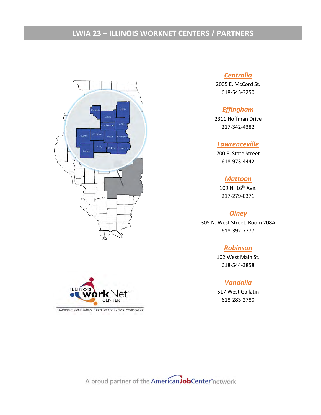# **LWIA 23 – ILLINOIS WORKNET CENTERS / PARTNERS**



#### *Centralia*

2005 E. McCord St. 618-545-3250

### *Effingham*

2311 Hoffman Drive 217-342-4382

#### *Lawrenceville*

700 E. State Street 618-973-4442

#### *Mattoon*

109 N. 16th Ave. 217-279-0371

#### *Olney*

305 N. West Street, Room 208A 618-392-7777

#### *Robinson*

102 West Main St. 618-544-3858

#### *Vandalia*

517 West Gallatin 618-283-2780



TRAINING . CONNECTING . DEVELOPING ILLINOIS' WORKFORCE

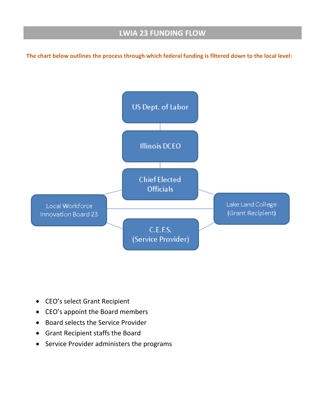# **LWIA 23 FUNDING FLOW**

**The chart below outlines the process through which federal funding is filtered down to the local level:** 



- CEO's select Grant Recipient
- CEO's appoint the Board members
- Board selects the Service Provider
- Grant Recipient staffs the Board
- Service Provider administers the programs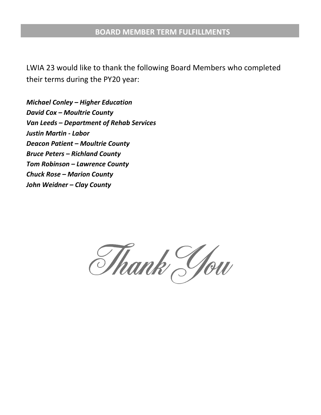### **BOARD MEMBER TERM FULFILLMENTS**

LWIA 23 would like to thank the following Board Members who completed their terms during the PY20 year:

*Michael Conley – Higher Education David Cox – Moultrie County Van Leeds – Department of Rehab Services Justin Martin - Labor Deacon Patient – Moultrie County Bruce Peters – Richland County Tom Robinson – Lawrence County Chuck Rose – Marion County John Weidner – Clay County*

Thank You